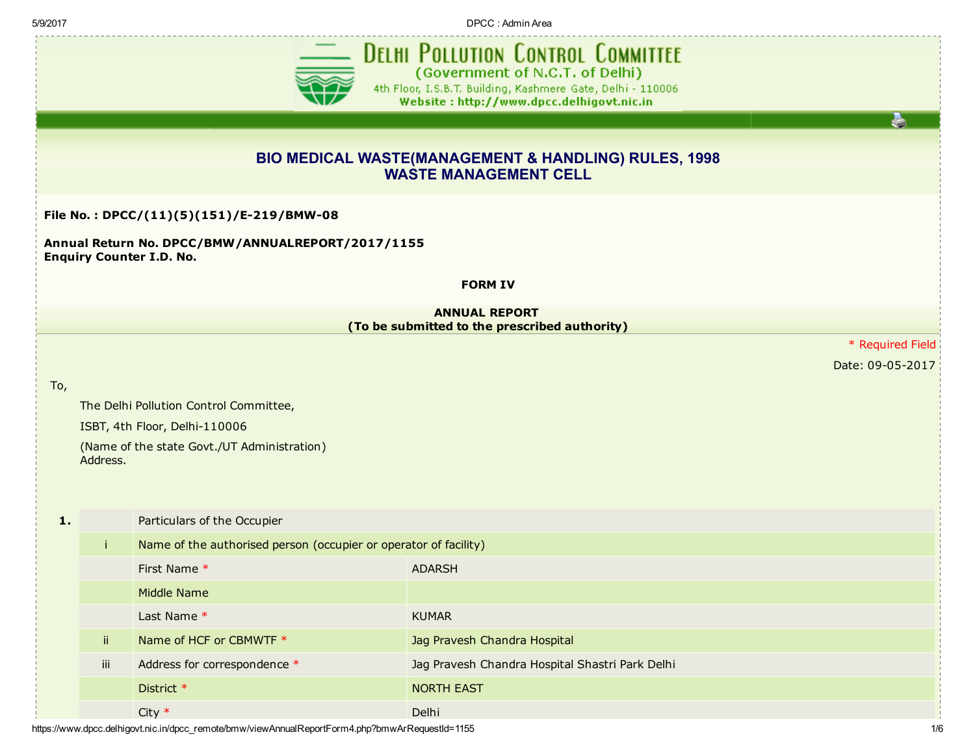5/9/2017 DPCC : Admin Area



**DELHI POLLUTION CONTROL COMMITTEE** (Government of N.C.T. of Delhi) 4th Floor, I.S.B.T. Building, Kashmere Gate, Delhi - 110006 Website: http://www.dpcc.delhigovt.nic.in

è

## BIO MEDICAL WASTE(MANAGEMENT & HANDLING) RULES, 1998 WASTE MANAGEMENT CELL

## File No.: DPCC/(11)(5)(151)/E-219/BMW-08

Annual Return No. DPCC/BMW/ANNUALREPORT/2017/1155 Enquiry Counter I.D. No.

## FORM IV

## ANNUAL REPORT (To be submitted to the prescribed authority)

\* Required Field

Date: 09-05-2017

To,

The Delhi Pollution Control Committee,

ISBT, 4th Floor, Delhi-110006

(Name of the state Govt./UT Administration) Address.

| 1. |     | Particulars of the Occupier                                      |                                                 |  |  |  |  |
|----|-----|------------------------------------------------------------------|-------------------------------------------------|--|--|--|--|
|    |     | Name of the authorised person (occupier or operator of facility) |                                                 |  |  |  |  |
|    |     | First Name *                                                     | <b>ADARSH</b>                                   |  |  |  |  |
|    |     | Middle Name                                                      |                                                 |  |  |  |  |
|    |     | Last Name $*$                                                    | <b>KUMAR</b>                                    |  |  |  |  |
|    | ii. | Name of HCF or CBMWTF *                                          | Jag Pravesh Chandra Hospital                    |  |  |  |  |
|    | iii | Address for correspondence *                                     | Jag Pravesh Chandra Hospital Shastri Park Delhi |  |  |  |  |
|    |     | District *                                                       | <b>NORTH EAST</b>                               |  |  |  |  |
|    |     | City $*$                                                         | Delhi                                           |  |  |  |  |

https://www.dpcc.delhigovt.nic.in/dpcc\_remote/bmw/viewAnnualReportForm4.php?bmwArRequestId=1155 1/6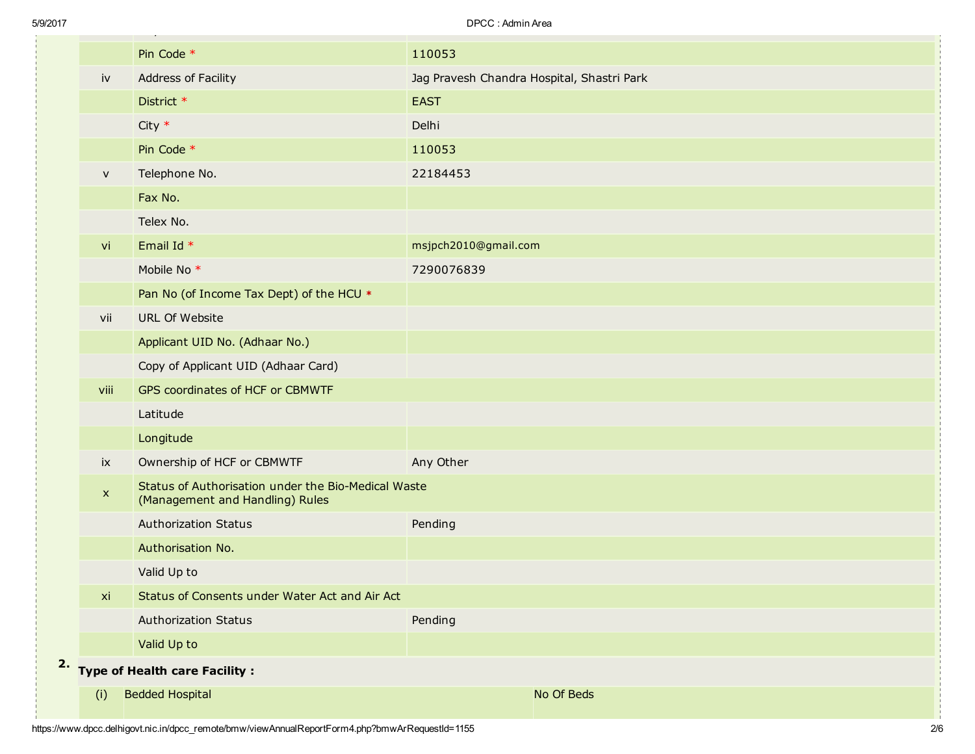| 20 H |                        |                                                                                        | UI VV. AVIIIIII AI GA                      |
|------|------------------------|----------------------------------------------------------------------------------------|--------------------------------------------|
|      |                        | Pin Code *                                                                             | 110053                                     |
|      | $\mathsf{i}\mathsf{v}$ | Address of Facility                                                                    | Jag Pravesh Chandra Hospital, Shastri Park |
|      |                        | District *                                                                             | <b>EAST</b>                                |
|      |                        | $City *$                                                                               | Delhi                                      |
|      |                        | Pin Code *                                                                             | 110053                                     |
|      | $\mathsf{v}$           | Telephone No.                                                                          | 22184453                                   |
|      |                        | Fax No.                                                                                |                                            |
|      |                        | Telex No.                                                                              |                                            |
|      | vi                     | Email Id *                                                                             | msjpch2010@gmail.com                       |
|      |                        | Mobile No <sup>*</sup>                                                                 | 7290076839                                 |
|      |                        | Pan No (of Income Tax Dept) of the HCU *                                               |                                            |
|      | vii                    | <b>URL Of Website</b>                                                                  |                                            |
|      |                        | Applicant UID No. (Adhaar No.)                                                         |                                            |
|      |                        | Copy of Applicant UID (Adhaar Card)                                                    |                                            |
|      | viii                   | GPS coordinates of HCF or CBMWTF                                                       |                                            |
|      |                        | Latitude                                                                               |                                            |
|      |                        | Longitude                                                                              |                                            |
|      | ix                     | Ownership of HCF or CBMWTF                                                             | Any Other                                  |
|      | $\mathbf{x}$           | Status of Authorisation under the Bio-Medical Waste<br>(Management and Handling) Rules |                                            |
|      |                        | <b>Authorization Status</b>                                                            | Pending                                    |
|      |                        | Authorisation No.                                                                      |                                            |
|      |                        | Valid Up to                                                                            |                                            |
|      | xi                     | Status of Consents under Water Act and Air Act                                         |                                            |
|      |                        | <b>Authorization Status</b>                                                            | Pending                                    |
|      |                        | Valid Up to                                                                            |                                            |
| 2.   |                        | <b>Type of Health care Facility:</b>                                                   |                                            |
|      | (i)                    | <b>Bedded Hospital</b>                                                                 | No Of Beds                                 |
|      |                        |                                                                                        |                                            |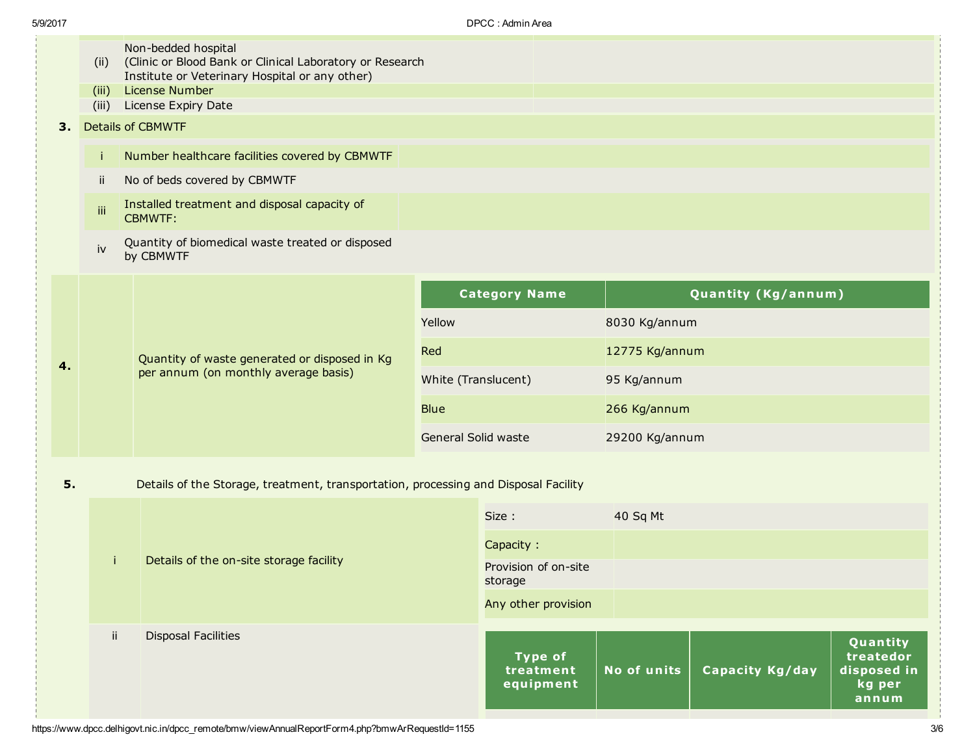|    | (ii)                           | Non-bedded hospital<br>(Clinic or Blood Bank or Clinical Laboratory or Research<br>Institute or Veterinary Hospital or any other)<br>License Number |                                 |                                          |                |                     |                                                         |
|----|--------------------------------|-----------------------------------------------------------------------------------------------------------------------------------------------------|---------------------------------|------------------------------------------|----------------|---------------------|---------------------------------------------------------|
|    | (iii)<br>(iii)                 | License Expiry Date                                                                                                                                 |                                 |                                          |                |                     |                                                         |
|    |                                |                                                                                                                                                     |                                 |                                          |                |                     |                                                         |
|    | <b>Details of CBMWTF</b><br>3. |                                                                                                                                                     |                                 |                                          |                |                     |                                                         |
|    | Ť.                             | Number healthcare facilities covered by CBMWTF                                                                                                      |                                 |                                          |                |                     |                                                         |
|    | ii.                            | No of beds covered by CBMWTF                                                                                                                        |                                 |                                          |                |                     |                                                         |
|    | iii                            | Installed treatment and disposal capacity of<br><b>CBMWTF:</b>                                                                                      |                                 |                                          |                |                     |                                                         |
|    | iv                             | Quantity of biomedical waste treated or disposed<br>by CBMWTF                                                                                       |                                 |                                          |                |                     |                                                         |
|    |                                |                                                                                                                                                     |                                 | <b>Category Name</b>                     |                | Quantity (Kg/annum) |                                                         |
|    |                                | Quantity of waste generated or disposed in Kg<br>per annum (on monthly average basis)                                                               | Yellow                          |                                          | 8030 Kg/annum  |                     |                                                         |
| 4. |                                |                                                                                                                                                     | Red                             |                                          | 12775 Kg/annum |                     |                                                         |
|    |                                |                                                                                                                                                     | White (Translucent)             |                                          | 95 Kg/annum    |                     |                                                         |
|    |                                |                                                                                                                                                     | <b>Blue</b>                     |                                          | 266 Kg/annum   |                     |                                                         |
|    |                                |                                                                                                                                                     | General Solid waste             |                                          | 29200 Kg/annum |                     |                                                         |
|    |                                |                                                                                                                                                     |                                 |                                          |                |                     |                                                         |
| 5. |                                | Details of the Storage, treatment, transportation, processing and Disposal Facility                                                                 |                                 |                                          |                |                     |                                                         |
|    |                                |                                                                                                                                                     |                                 | Size:                                    | 40 Sq Mt       |                     |                                                         |
|    |                                | Details of the on-site storage facility                                                                                                             |                                 | Capacity:                                |                |                     |                                                         |
|    |                                |                                                                                                                                                     | Provision of on-site<br>storage |                                          |                |                     |                                                         |
|    |                                |                                                                                                                                                     |                                 | Any other provision                      |                |                     |                                                         |
|    |                                | $\mathbf{ii}$<br><b>Disposal Facilities</b>                                                                                                         |                                 | <b>Type of</b><br>treatment<br>equipment | No of units    | Capacity Kg/day     | Quantity<br>treatedor<br>disposed in<br>kg per<br>annum |
|    |                                |                                                                                                                                                     |                                 |                                          |                |                     |                                                         |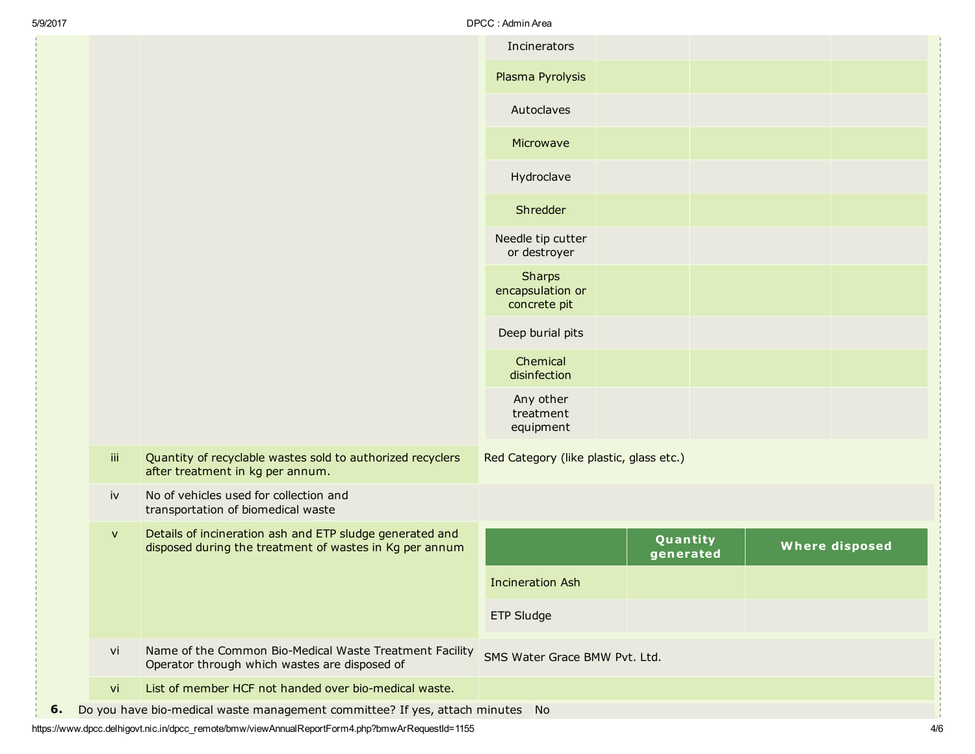| <b>Where disposed</b> |
|-----------------------|
|                       |
|                       |
|                       |
|                       |
|                       |

https://www.dpcc.delhigovt.nic.in/dpcc\_remote/bmw/viewAnnualReportForm4.php?bmwArRequestId=1155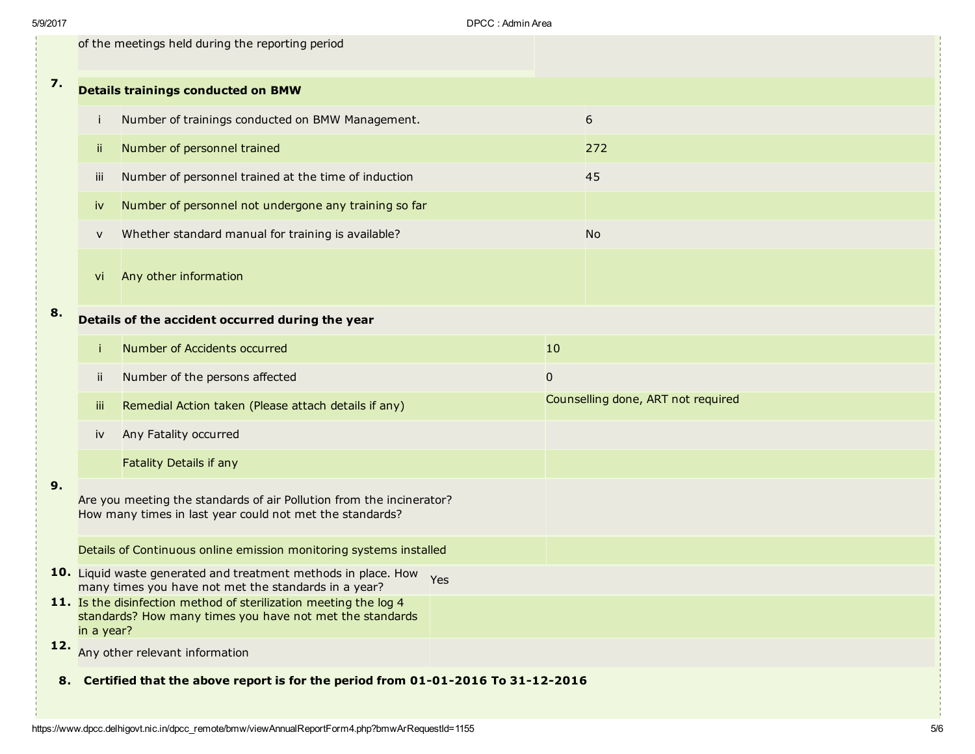|    | of the meetings held during the reporting period                                                                                            |                                                                                                                            |  |                                    |                |  |  |
|----|---------------------------------------------------------------------------------------------------------------------------------------------|----------------------------------------------------------------------------------------------------------------------------|--|------------------------------------|----------------|--|--|
| 7. |                                                                                                                                             | <b>Details trainings conducted on BMW</b>                                                                                  |  |                                    |                |  |  |
|    |                                                                                                                                             | Number of trainings conducted on BMW Management.                                                                           |  |                                    | $6\phantom{1}$ |  |  |
|    | jj.                                                                                                                                         | Number of personnel trained                                                                                                |  |                                    | 272            |  |  |
|    | iii                                                                                                                                         | Number of personnel trained at the time of induction                                                                       |  |                                    | 45             |  |  |
|    | iv                                                                                                                                          | Number of personnel not undergone any training so far                                                                      |  |                                    |                |  |  |
|    | V                                                                                                                                           | Whether standard manual for training is available?                                                                         |  |                                    | <b>No</b>      |  |  |
|    | Vİ                                                                                                                                          | Any other information                                                                                                      |  |                                    |                |  |  |
| 8. |                                                                                                                                             | Details of the accident occurred during the year                                                                           |  |                                    |                |  |  |
|    |                                                                                                                                             | Number of Accidents occurred                                                                                               |  | 10                                 |                |  |  |
|    | Ϊİ                                                                                                                                          | Number of the persons affected                                                                                             |  | $\pmb{0}$                          |                |  |  |
|    | Ϊij                                                                                                                                         | Remedial Action taken (Please attach details if any)                                                                       |  | Counselling done, ART not required |                |  |  |
|    | iv                                                                                                                                          | Any Fatality occurred                                                                                                      |  |                                    |                |  |  |
|    |                                                                                                                                             | Fatality Details if any                                                                                                    |  |                                    |                |  |  |
| 9. | Are you meeting the standards of air Pollution from the incinerator?<br>How many times in last year could not met the standards?            |                                                                                                                            |  |                                    |                |  |  |
|    | Details of Continuous online emission monitoring systems installed                                                                          |                                                                                                                            |  |                                    |                |  |  |
|    |                                                                                                                                             | 10. Liquid waste generated and treatment methods in place. How Yes<br>many times you have not met the standards in a year? |  |                                    |                |  |  |
|    | 11. Is the disinfection method of sterilization meeting the log 4<br>standards? How many times you have not met the standards<br>in a year? |                                                                                                                            |  |                                    |                |  |  |
|    |                                                                                                                                             | 12. Any other relevant information                                                                                         |  |                                    |                |  |  |
|    | 8. Certified that the above report is for the period from 01-01-2016 To 31-12-2016                                                          |                                                                                                                            |  |                                    |                |  |  |